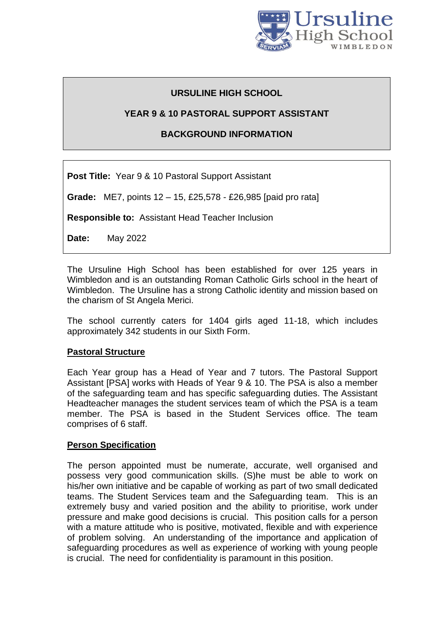

# **URSULINE HIGH SCHOOL**

# **YEAR 9 & 10 PASTORAL SUPPORT ASSISTANT**

# **BACKGROUND INFORMATION**

**Post Title:** Year 9 & 10 Pastoral Support Assistant

**Grade:** ME7, points 12 – 15, £25,578 - £26,985 [paid pro rata]

**Responsible to:** Assistant Head Teacher Inclusion

**Date:** May 2022

The Ursuline High School has been established for over 125 years in Wimbledon and is an outstanding Roman Catholic Girls school in the heart of Wimbledon. The Ursuline has a strong Catholic identity and mission based on the charism of St Angela Merici.

The school currently caters for 1404 girls aged 11-18, which includes approximately 342 students in our Sixth Form.

#### **Pastoral Structure**

Each Year group has a Head of Year and 7 tutors. The Pastoral Support Assistant [PSA] works with Heads of Year 9 & 10. The PSA is also a member of the safeguarding team and has specific safeguarding duties. The Assistant Headteacher manages the student services team of which the PSA is a team member. The PSA is based in the Student Services office. The team comprises of 6 staff.

#### **Person Specification**

The person appointed must be numerate, accurate, well organised and possess very good communication skills. (S)he must be able to work on his/her own initiative and be capable of working as part of two small dedicated teams. The Student Services team and the Safeguarding team. This is an extremely busy and varied position and the ability to prioritise, work under pressure and make good decisions is crucial. This position calls for a person with a mature attitude who is positive, motivated, flexible and with experience of problem solving. An understanding of the importance and application of safeguarding procedures as well as experience of working with young people is crucial. The need for confidentiality is paramount in this position.